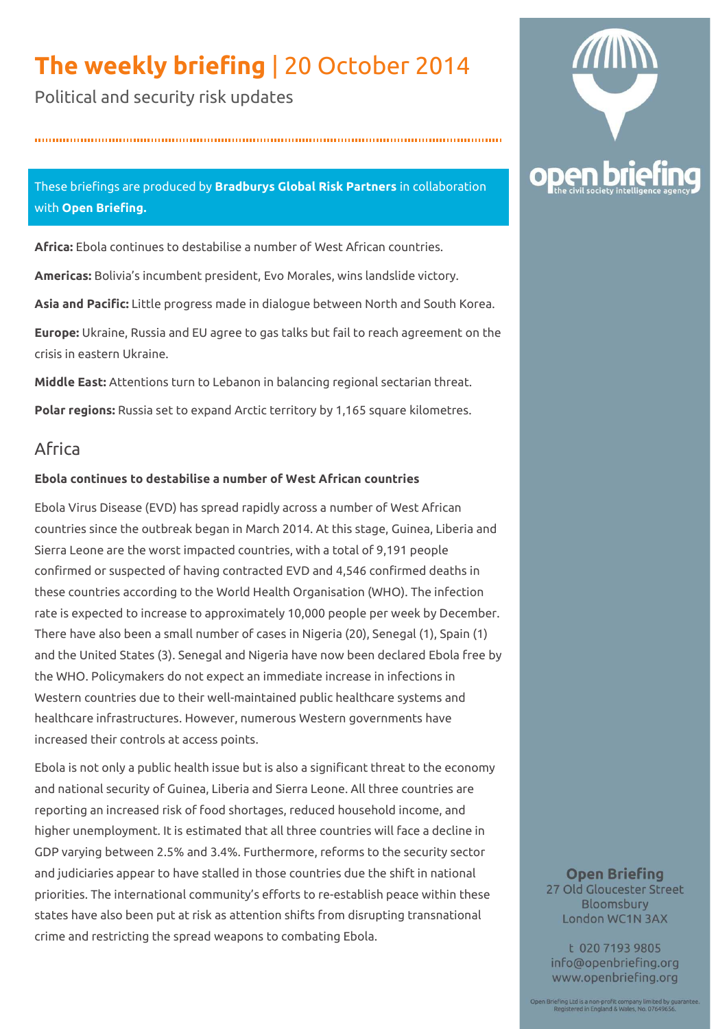# **The weekly briefing** | 20 October 2014

Political and security risk updates

## These briefings are produced by **Bradburys Global Risk Partners** in collaboration with **Open Briefing.**

**Africa:** Ebola continues to destabilise a number of West African countries.

**Americas:** Bolivia's incumbent president, Evo Morales, wins landslide victory.

**Asia and Pacific:** Little progress made in dialogue between North and South Korea.

**Europe:** Ukraine, Russia and EU agree to gas talks but fail to reach agreement on the crisis in eastern Ukraine.

**Middle East:** Attentions turn to Lebanon in balancing regional sectarian threat. **Polar regions:** Russia set to expand Arctic territory by 1,165 square kilometres.

# Africa

## **Ebola continues to destabilise a number of West African countries**

Ebola Virus Disease (EVD) has spread rapidly across a number of West African countries since the outbreak began in March 2014. At this stage, Guinea, Liberia and Sierra Leone are the worst impacted countries, with a total of 9,191 people confirmed or suspected of having contracted EVD and 4,546 confirmed deaths in these countries according to the World Health Organisation (WHO). The infection rate is expected to increase to approximately 10,000 people per week by December. There have also been a small number of cases in Nigeria (20), Senegal (1), Spain (1) and the United States (3). Senegal and Nigeria have now been declared Ebola free by the WHO. Policymakers do not expect an immediate increase in infections in Western countries due to their well-maintained public healthcare systems and healthcare infrastructures. However, numerous Western governments have increased their controls at access points.

Ebola is not only a public health issue but is also a significant threat to the economy and national security of Guinea, Liberia and Sierra Leone. All three countries are reporting an increased risk of food shortages, reduced household income, and higher unemployment. It is estimated that all three countries will face a decline in GDP varying between 2.5% and 3.4%. Furthermore, reforms to the security sector and judiciaries appear to have stalled in those countries due the shift in national priorities. The international community's efforts to re-establish peace within these states have also been put at risk as attention shifts from disrupting transnational crime and restricting the spread weapons to combating Ebola.



#### **Open Briefing** 27 Old Gloucester Street Bloomsbury London WC1N 3AX

t 020 7193 9805 info@openbriefing.org www.openbriefing.org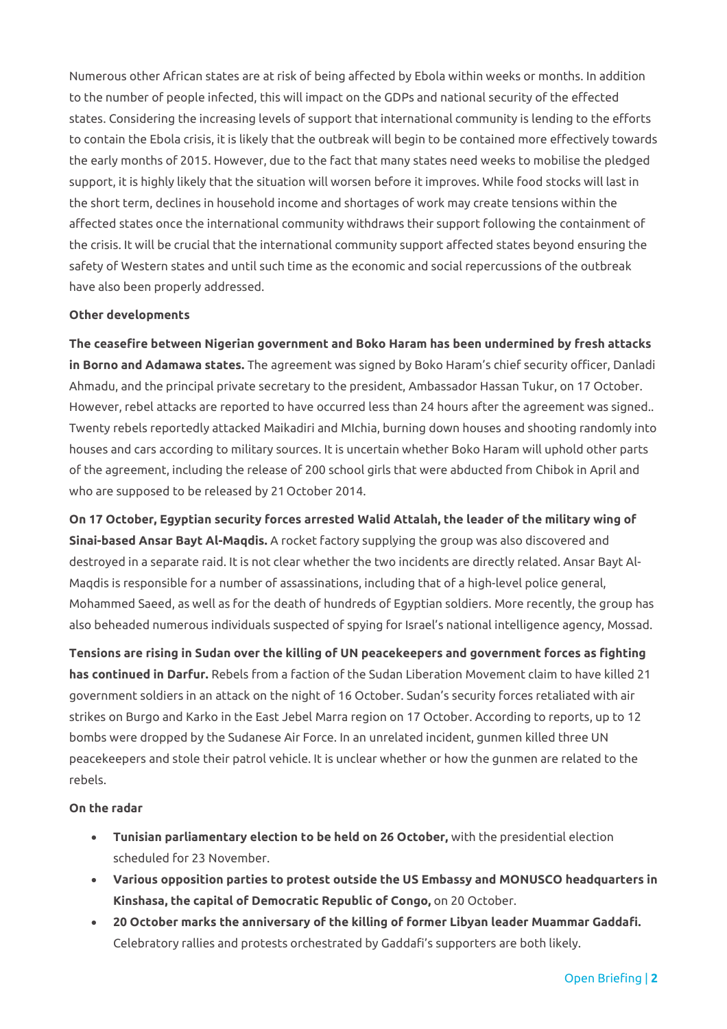Numerous other African states are at risk of being affected by Ebola within weeks or months. In addition to the number of people infected, this will impact on the GDPs and national security of the effected states. Considering the increasing levels of support that international community is lending to the efforts to contain the Ebola crisis, it is likely that the outbreak will begin to be contained more effectively towards the early months of 2015. However, due to the fact that many states need weeks to mobilise the pledged support, it is highly likely that the situation will worsen before it improves. While food stocks will last in the short term, declines in household income and shortages of work may create tensions within the affected states once the international community withdraws their support following the containment of the crisis. It will be crucial that the international community support affected states beyond ensuring the safety of Western states and until such time as the economic and social repercussions of the outbreak have also been properly addressed.

#### **Other developments**

**The ceasefire between Nigerian government and Boko Haram has been undermined by fresh attacks in Borno and Adamawa states.** The agreement was signed by Boko Haram's chief security officer, Danladi Ahmadu, and the principal private secretary to the president, Ambassador Hassan Tukur, on 17 October. However, rebel attacks are reported to have occurred less than 24 hours after the agreement was signed.. Twenty rebels reportedly attacked Maikadiri and MIchia, burning down houses and shooting randomly into houses and cars according to military sources. It is uncertain whether Boko Haram will uphold other parts of the agreement, including the release of 200 school girls that were abducted from Chibok in April and who are supposed to be released by 21 October 2014.

**On 17 October, Egyptian security forces arrested Walid Attalah, the leader of the military wing of Sinai-based Ansar Bayt Al-Maqdis.** A rocket factory supplying the group was also discovered and destroyed in a separate raid. It is not clear whether the two incidents are directly related. Ansar Bayt Al-Maqdis is responsible for a number of assassinations, including that of a high-level police general, Mohammed Saeed, as well as for the death of hundreds of Egyptian soldiers. More recently, the group has also beheaded numerous individuals suspected of spying for Israel's national intelligence agency, Mossad.

**Tensions are rising in Sudan over the killing of UN peacekeepers and government forces as fighting has continued in Darfur.** Rebels from a faction of the Sudan Liberation Movement claim to have killed 21 government soldiers in an attack on the night of 16 October. Sudan's security forces retaliated with air strikes on Burgo and Karko in the East Jebel Marra region on 17 October. According to reports, up to 12 bombs were dropped by the Sudanese Air Force. In an unrelated incident, gunmen killed three UN peacekeepers and stole their patrol vehicle. It is unclear whether or how the gunmen are related to the rebels.

#### **On the radar**

- **Tunisian parliamentary election to be held on 26 October,** with the presidential election scheduled for 23 November.
- **Various opposition parties to protest outside the US Embassy and MONUSCO headquarters in Kinshasa, the capital of Democratic Republic of Congo,** on 20 October.
- **20 October marks the anniversary of the killing of former Libyan leader Muammar Gaddafi.** Celebratory rallies and protests orchestrated by Gaddafi's supporters are both likely.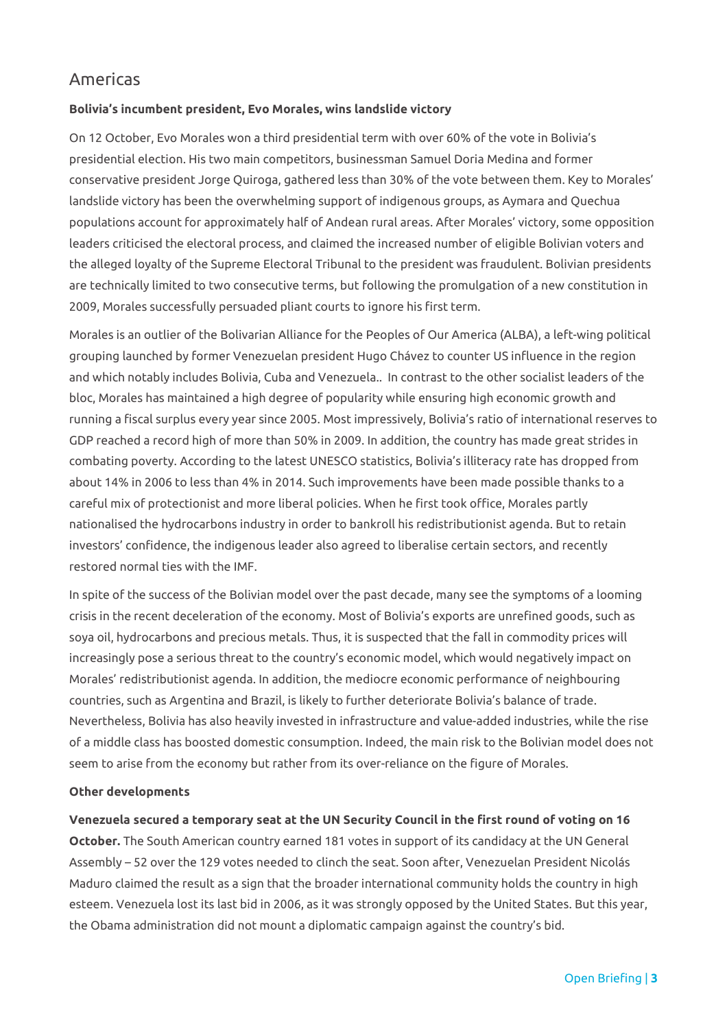# Americas

#### **Bolivia's incumbent president, Evo Morales, wins landslide victory**

On 12 October, Evo Morales won a third presidential term with over 60% of the vote in Bolivia's presidential election. His two main competitors, businessman Samuel Doria Medina and former conservative president Jorge Quiroga, gathered less than 30% of the vote between them. Key to Morales' landslide victory has been the overwhelming support of indigenous groups, as Aymara and Quechua populations account for approximately half of Andean rural areas. After Morales' victory, some opposition leaders criticised the electoral process, and claimed the increased number of eligible Bolivian voters and the alleged loyalty of the Supreme Electoral Tribunal to the president was fraudulent. Bolivian presidents are technically limited to two consecutive terms, but following the promulgation of a new constitution in 2009, Morales successfully persuaded pliant courts to ignore his first term.

Morales is an outlier of the Bolivarian Alliance for the Peoples of Our America (ALBA), a left-wing political grouping launched by former Venezuelan president Hugo Chávez to counter US influence in the region and which notably includes Bolivia, Cuba and Venezuela.. In contrast to the other socialist leaders of the bloc, Morales has maintained a high degree of popularity while ensuring high economic growth and running a fiscal surplus every year since 2005. Most impressively, Bolivia's ratio of international reserves to GDP reached a record high of more than 50% in 2009. In addition, the country has made great strides in combating poverty. According to the latest UNESCO statistics, Bolivia's illiteracy rate has dropped from about 14% in 2006 to less than 4% in 2014. Such improvements have been made possible thanks to a careful mix of protectionist and more liberal policies. When he first took office, Morales partly nationalised the hydrocarbons industry in order to bankroll his redistributionist agenda. But to retain investors' confidence, the indigenous leader also agreed to liberalise certain sectors, and recently restored normal ties with the IMF.

In spite of the success of the Bolivian model over the past decade, many see the symptoms of a looming crisis in the recent deceleration of the economy. Most of Bolivia's exports are unrefined goods, such as soya oil, hydrocarbons and precious metals. Thus, it is suspected that the fall in commodity prices will increasingly pose a serious threat to the country's economic model, which would negatively impact on Morales' redistributionist agenda. In addition, the mediocre economic performance of neighbouring countries, such as Argentina and Brazil, is likely to further deteriorate Bolivia's balance of trade. Nevertheless, Bolivia has also heavily invested in infrastructure and value-added industries, while the rise of a middle class has boosted domestic consumption. Indeed, the main risk to the Bolivian model does not seem to arise from the economy but rather from its over-reliance on the figure of Morales.

#### **Other developments**

**Venezuela secured a temporary seat at the UN Security Council in the first round of voting on 16 October.** The South American country earned 181 votes in support of its candidacy at the UN General Assembly – 52 over the 129 votes needed to clinch the seat. Soon after, Venezuelan President Nicolás Maduro claimed the result as a sign that the broader international community holds the country in high esteem. Venezuela lost its last bid in 2006, as it was strongly opposed by the United States. But this year, the Obama administration did not mount a diplomatic campaign against the country's bid.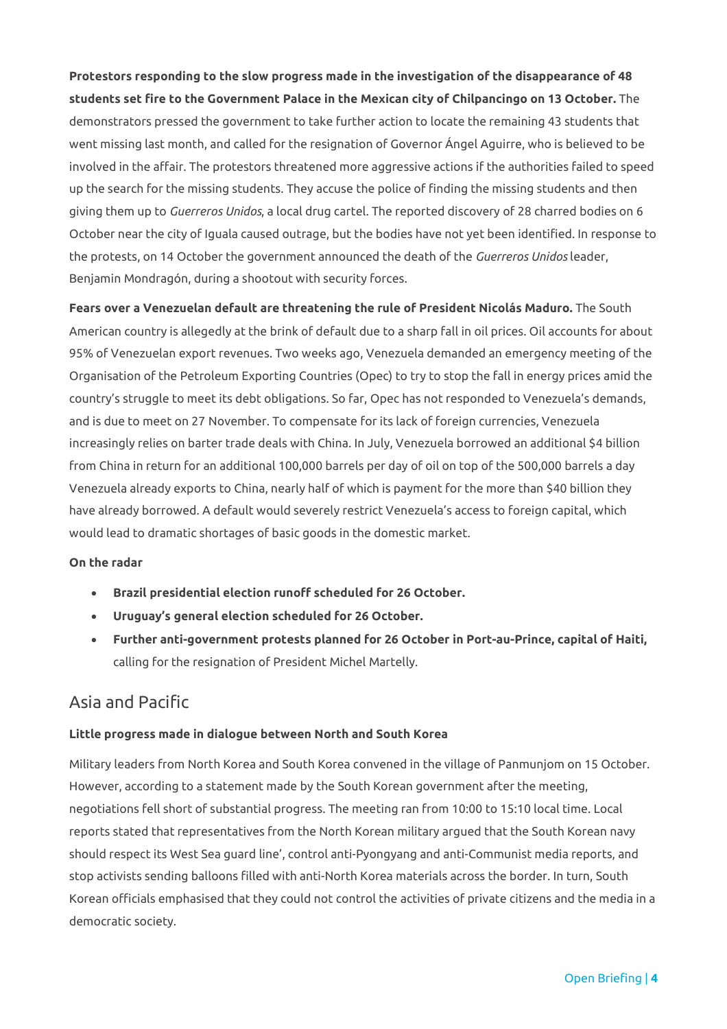**Protestors responding to the slow progress made in the investigation of the disappearance of 48 students set fire to the Government Palace in the Mexican city of Chilpancingo on 13 October.** The demonstrators pressed the government to take further action to locate the remaining 43 students that went missing last month, and called for the resignation of Governor Ángel Aguirre, who is believed to be involved in the affair. The protestors threatened more aggressive actions if the authorities failed to speed up the search for the missing students. They accuse the police of finding the missing students and then giving them up to *Guerreros Unidos*, a local drug cartel. The reported discovery of 28 charred bodies on 6 October near the city of Iguala caused outrage, but the bodies have not yet been identified. In response to the protests, on 14 October the government announced the death of the *Guerreros Unidos* leader, Benjamin Mondragón, during a shootout with security forces.

**Fears over a Venezuelan default are threatening the rule of President Nicolás Maduro.** The South American country is allegedly at the brink of default due to a sharp fall in oil prices. Oil accounts for about 95% of Venezuelan export revenues. Two weeks ago, Venezuela demanded an emergency meeting of the Organisation of the Petroleum Exporting Countries (Opec) to try to stop the fall in energy prices amid the country's struggle to meet its debt obligations. So far, Opec has not responded to Venezuela's demands, and is due to meet on 27 November. To compensate for its lack of foreign currencies, Venezuela increasingly relies on barter trade deals with China. In July, Venezuela borrowed an additional \$4 billion from China in return for an additional 100,000 barrels per day of oil on top of the 500,000 barrels a day Venezuela already exports to China, nearly half of which is payment for the more than \$40 billion they have already borrowed. A default would severely restrict Venezuela's access to foreign capital, which would lead to dramatic shortages of basic goods in the domestic market.

#### **On the radar**

- **Brazil presidential election runoff scheduled for 26 October.**
- **Uruguay's general election scheduled for 26 October.**
- **Further anti-government protests planned for 26 October in Port-au-Prince, capital of Haiti,**  calling for the resignation of President Michel Martelly.

## Asia and Pacific

#### **Little progress made in dialogue between North and South Korea**

Military leaders from North Korea and South Korea convened in the village of Panmunjom on 15 October. However, according to a statement made by the South Korean government after the meeting, negotiations fell short of substantial progress. The meeting ran from 10:00 to 15:10 local time. Local reports stated that representatives from the North Korean military argued that the South Korean navy should respect its West Sea guard line', control anti-Pyongyang and anti-Communist media reports, and stop activists sending balloons filled with anti-North Korea materials across the border. In turn, South Korean officials emphasised that they could not control the activities of private citizens and the media in a democratic society.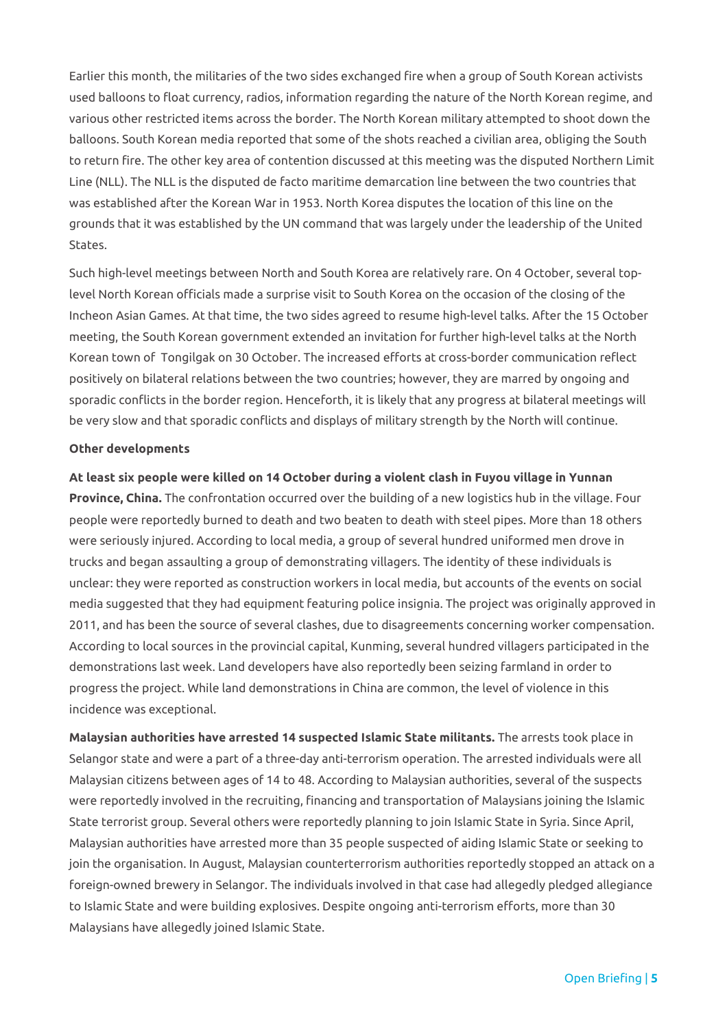Earlier this month, the militaries of the two sides exchanged fire when a group of South Korean activists used balloons to float currency, radios, information regarding the nature of the North Korean regime, and various other restricted items across the border. The North Korean military attempted to shoot down the balloons. South Korean media reported that some of the shots reached a civilian area, obliging the South to return fire. The other key area of contention discussed at this meeting was the disputed Northern Limit Line (NLL). The NLL is the disputed de facto maritime demarcation line between the two countries that was established after the Korean War in 1953. North Korea disputes the location of this line on the grounds that it was established by the UN command that was largely under the leadership of the United States.

Such high-level meetings between North and South Korea are relatively rare. On 4 October, several toplevel North Korean officials made a surprise visit to South Korea on the occasion of the closing of the Incheon Asian Games. At that time, the two sides agreed to resume high-level talks. After the 15 October meeting, the South Korean government extended an invitation for further high-level talks at the North Korean town of Tongilgak on 30 October. The increased efforts at cross-border communication reflect positively on bilateral relations between the two countries; however, they are marred by ongoing and sporadic conflicts in the border region. Henceforth, it is likely that any progress at bilateral meetings will be very slow and that sporadic conflicts and displays of military strength by the North will continue.

#### **Other developments**

**At least six people were killed on 14 October during a violent clash in Fuyou village in Yunnan Province, China.** The confrontation occurred over the building of a new logistics hub in the village. Four people were reportedly burned to death and two beaten to death with steel pipes. More than 18 others were seriously injured. According to local media, a group of several hundred uniformed men drove in trucks and began assaulting a group of demonstrating villagers. The identity of these individuals is unclear: they were reported as construction workers in local media, but accounts of the events on social media suggested that they had equipment featuring police insignia. The project was originally approved in 2011, and has been the source of several clashes, due to disagreements concerning worker compensation. According to local sources in the provincial capital, Kunming, several hundred villagers participated in the demonstrations last week. Land developers have also reportedly been seizing farmland in order to progress the project. While land demonstrations in China are common, the level of violence in this incidence was exceptional.

**Malaysian authorities have arrested 14 suspected Islamic State militants.** The arrests took place in Selangor state and were a part of a three-day anti-terrorism operation. The arrested individuals were all Malaysian citizens between ages of 14 to 48. According to Malaysian authorities, several of the suspects were reportedly involved in the recruiting, financing and transportation of Malaysians joining the Islamic State terrorist group. Several others were reportedly planning to join Islamic State in Syria. Since April, Malaysian authorities have arrested more than 35 people suspected of aiding Islamic State or seeking to join the organisation. In August, Malaysian counterterrorism authorities reportedly stopped an attack on a foreign-owned brewery in Selangor. The individuals involved in that case had allegedly pledged allegiance to Islamic State and were building explosives. Despite ongoing anti-terrorism efforts, more than 30 Malaysians have allegedly joined Islamic State.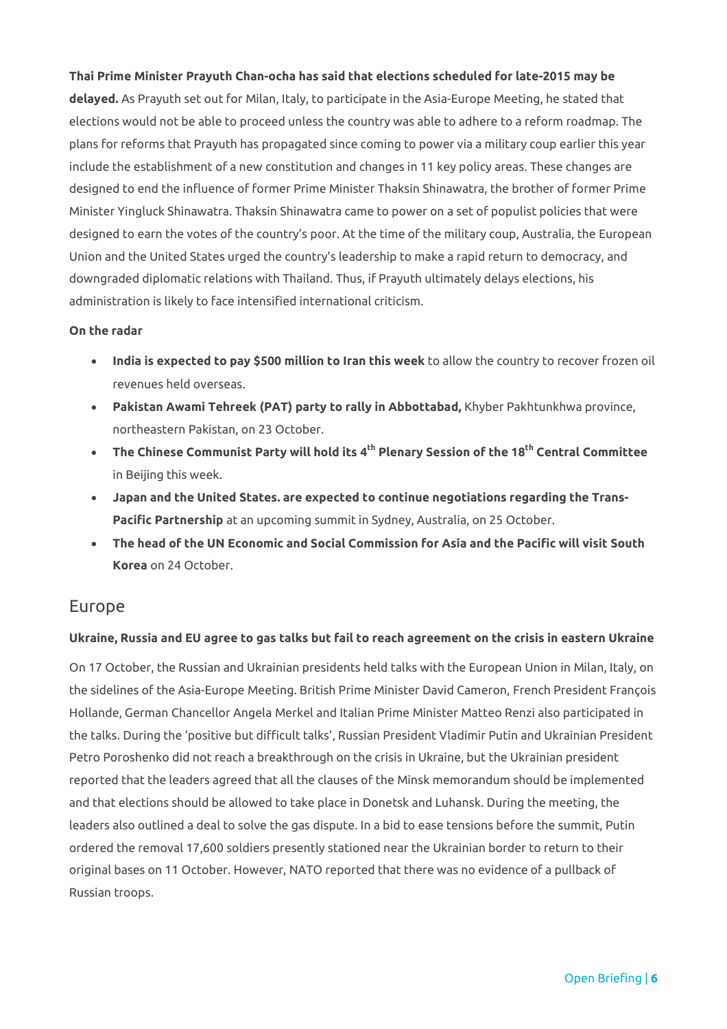#### **Thai Prime Minister Prayuth Chan-ocha has said that elections scheduled for late-2015 may be**

**delayed.** As Prayuth set out for Milan, Italy, to participate in the Asia-Europe Meeting, he stated that elections would not be able to proceed unless the country was able to adhere to a reform roadmap. The plans for reforms that Prayuth has propagated since coming to power via a military coup earlier this year include the establishment of a new constitution and changes in 11 key policy areas. These changes are designed to end the influence of former Prime Minister Thaksin Shinawatra, the brother of former Prime Minister Yingluck Shinawatra. Thaksin Shinawatra came to power on a set of populist policies that were designed to earn the votes of the country's poor. At the time of the military coup, Australia, the European Union and the United States urged the country's leadership to make a rapid return to democracy, and downgraded diplomatic relations with Thailand. Thus, if Prayuth ultimately delays elections, his administration is likely to face intensified international criticism.

#### **On the radar**

- **India is expected to pay \$500 million to Iran this week** to allow the country to recover frozen oil revenues held overseas.
- **Pakistan Awami Tehreek (PAT) party to rally in Abbottabad,** Khyber Pakhtunkhwa province, northeastern Pakistan, on 23 October.
- **The Chinese Communist Party will hold its 4th Plenary Session of the 18th Central Committee**  in Beijing this week.
- **Japan and the United States. are expected to continue negotiations regarding the Trans-Pacific Partnership** at an upcoming summit in Sydney, Australia, on 25 October.
- **The head of the UN Economic and Social Commission for Asia and the Pacific will visit South Korea** on 24 October.

## Europe

#### **Ukraine, Russia and EU agree to gas talks but fail to reach agreement on the crisis in eastern Ukraine**

On 17 October, the Russian and Ukrainian presidents held talks with the European Union in Milan, Italy, on the sidelines of the Asia-Europe Meeting. British Prime Minister David Cameron, French President François Hollande, German Chancellor Angela Merkel and Italian Prime Minister Matteo Renzi also participated in the talks. During the 'positive but difficult talks', Russian President Vladimir Putin and Ukrainian President Petro Poroshenko did not reach a breakthrough on the crisis in Ukraine, but the Ukrainian president reported that the leaders agreed that all the clauses of the Minsk memorandum should be implemented and that elections should be allowed to take place in Donetsk and Luhansk. During the meeting, the leaders also outlined a deal to solve the gas dispute. In a bid to ease tensions before the summit, Putin ordered the removal 17,600 soldiers presently stationed near the Ukrainian border to return to their original bases on 11 October. However, NATO reported that there was no evidence of a pullback of Russian troops.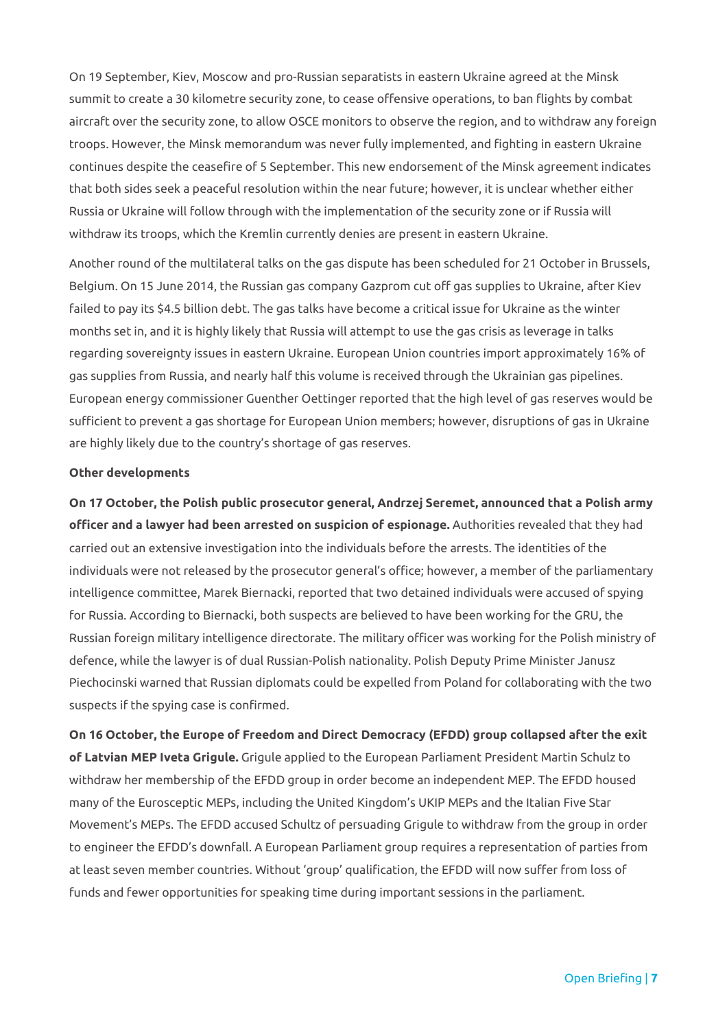On 19 September, Kiev, Moscow and pro-Russian separatists in eastern Ukraine agreed at the Minsk summit to create a 30 kilometre security zone, to cease offensive operations, to ban flights by combat aircraft over the security zone, to allow OSCE monitors to observe the region, and to withdraw any foreign troops. However, the Minsk memorandum was never fully implemented, and fighting in eastern Ukraine continues despite the ceasefire of 5 September. This new endorsement of the Minsk agreement indicates that both sides seek a peaceful resolution within the near future; however, it is unclear whether either Russia or Ukraine will follow through with the implementation of the security zone or if Russia will withdraw its troops, which the Kremlin currently denies are present in eastern Ukraine.

Another round of the multilateral talks on the gas dispute has been scheduled for 21 October in Brussels, Belgium. On 15 June 2014, the Russian gas company Gazprom cut off gas supplies to Ukraine, after Kiev failed to pay its \$4.5 billion debt. The gas talks have become a critical issue for Ukraine as the winter months set in, and it is highly likely that Russia will attempt to use the gas crisis as leverage in talks regarding sovereignty issues in eastern Ukraine. European Union countries import approximately 16% of gas supplies from Russia, and nearly half this volume is received through the Ukrainian gas pipelines. European energy commissioner Guenther Oettinger reported that the high level of gas reserves would be sufficient to prevent a gas shortage for European Union members; however, disruptions of gas in Ukraine are highly likely due to the country's shortage of gas reserves.

#### **Other developments**

**On 17 October, the Polish public prosecutor general, Andrzej Seremet, announced that a Polish army officer and a lawyer had been arrested on suspicion of espionage.** Authorities revealed that they had carried out an extensive investigation into the individuals before the arrests. The identities of the individuals were not released by the prosecutor general's office; however, a member of the parliamentary intelligence committee, Marek Biernacki, reported that two detained individuals were accused of spying for Russia. According to Biernacki, both suspects are believed to have been working for the GRU, the Russian foreign military intelligence directorate. The military officer was working for the Polish ministry of defence, while the lawyer is of dual Russian-Polish nationality. Polish Deputy Prime Minister Janusz Piechocinski warned that Russian diplomats could be expelled from Poland for collaborating with the two suspects if the spying case is confirmed.

**On 16 October, the Europe of Freedom and Direct Democracy (EFDD) group collapsed after the exit of Latvian MEP Iveta Grigule.** Grigule applied to the European Parliament President Martin Schulz to withdraw her membership of the EFDD group in order become an independent MEP. The EFDD housed many of the Eurosceptic MEPs, including the United Kingdom's UKIP MEPs and the Italian Five Star Movement's MEPs. The EFDD accused Schultz of persuading Grigule to withdraw from the group in order to engineer the EFDD's downfall. A European Parliament group requires a representation of parties from at least seven member countries. Without 'group' qualification, the EFDD will now suffer from loss of funds and fewer opportunities for speaking time during important sessions in the parliament.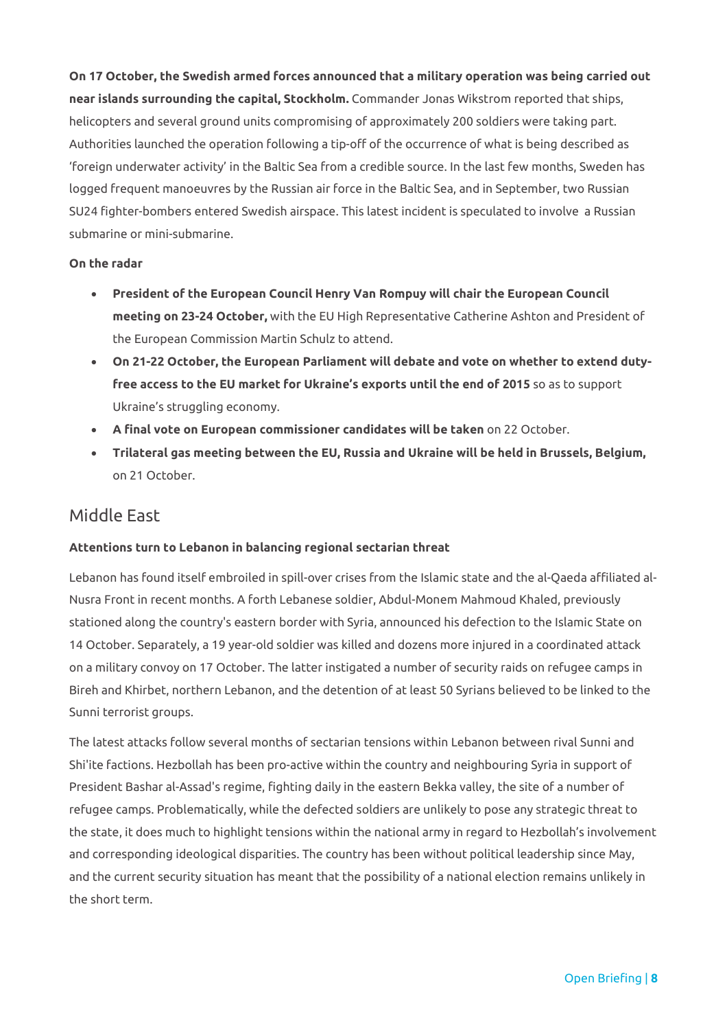**On 17 October, the Swedish armed forces announced that a military operation was being carried out near islands surrounding the capital, Stockholm.** Commander Jonas Wikstrom reported that ships, helicopters and several ground units compromising of approximately 200 soldiers were taking part. Authorities launched the operation following a tip-off of the occurrence of what is being described as 'foreign underwater activity' in the Baltic Sea from a credible source. In the last few months, Sweden has logged frequent manoeuvres by the Russian air force in the Baltic Sea, and in September, two Russian SU24 fighter-bombers entered Swedish airspace. This latest incident is speculated to involve a Russian submarine or mini-submarine.

#### **On the radar**

- **President of the European Council Henry Van Rompuy will chair the European Council meeting on 23-24 October,** with the EU High Representative Catherine Ashton and President of the European Commission Martin Schulz to attend.
- **On 21-22 October, the European Parliament will debate and vote on whether to extend dutyfree access to the EU market for Ukraine's exports until the end of 2015** so as to support Ukraine's struggling economy.
- **A final vote on European commissioner candidates will be taken** on 22 October.
- **Trilateral gas meeting between the EU, Russia and Ukraine will be held in Brussels, Belgium,**  on 21 October.

## Middle East

#### **Attentions turn to Lebanon in balancing regional sectarian threat**

Lebanon has found itself embroiled in spill-over crises from the Islamic state and the al-Qaeda affiliated al-Nusra Front in recent months. A forth Lebanese soldier, Abdul-Monem Mahmoud Khaled, previously stationed along the country's eastern border with Syria, announced his defection to the Islamic State on 14 October. Separately, a 19 year-old soldier was killed and dozens more injured in a coordinated attack on a military convoy on 17 October. The latter instigated a number of security raids on refugee camps in Bireh and Khirbet, northern Lebanon, and the detention of at least 50 Syrians believed to be linked to the Sunni terrorist groups.

The latest attacks follow several months of sectarian tensions within Lebanon between rival Sunni and Shi'ite factions. Hezbollah has been pro-active within the country and neighbouring Syria in support of President Bashar al-Assad's regime, fighting daily in the eastern Bekka valley, the site of a number of refugee camps. Problematically, while the defected soldiers are unlikely to pose any strategic threat to the state, it does much to highlight tensions within the national army in regard to Hezbollah's involvement and corresponding ideological disparities. The country has been without political leadership since May, and the current security situation has meant that the possibility of a national election remains unlikely in the short term.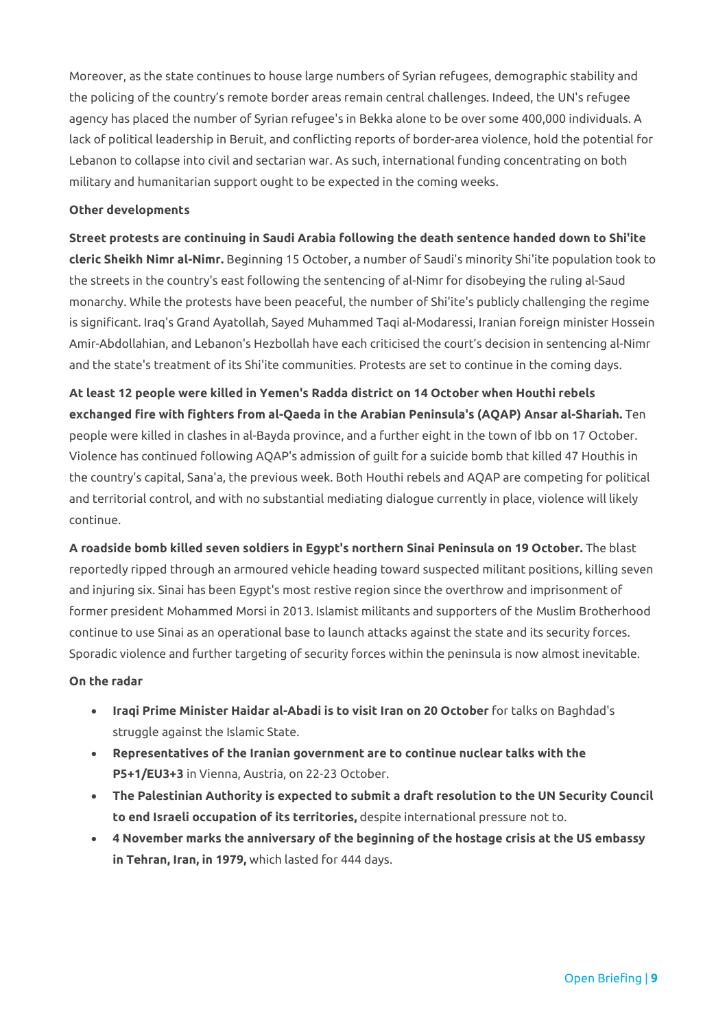Moreover, as the state continues to house large numbers of Syrian refugees, demographic stability and the policing of the country's remote border areas remain central challenges. Indeed, the UN's refugee agency has placed the number of Syrian refugee's in Bekka alone to be over some 400,000 individuals. A lack of political leadership in Beruit, and conflicting reports of border-area violence, hold the potential for Lebanon to collapse into civil and sectarian war. As such, international funding concentrating on both military and humanitarian support ought to be expected in the coming weeks.

#### **Other developments**

**Street protests are continuing in Saudi Arabia following the death sentence handed down to Shi'ite cleric Sheikh Nimr al-Nimr.** Beginning 15 October, a number of Saudi's minority Shi'ite population took to the streets in the country's east following the sentencing of al-Nimr for disobeying the ruling al-Saud monarchy. While the protests have been peaceful, the number of Shi'ite's publicly challenging the regime is significant. Iraq's Grand Ayatollah, Sayed Muhammed Taqi al-Modaressi, Iranian foreign minister Hossein Amir-Abdollahian, and Lebanon's Hezbollah have each criticised the court's decision in sentencing al-Nimr and the state's treatment of its Shi'ite communities. Protests are set to continue in the coming days.

**At least 12 people were killed in Yemen's Radda district on 14 October when Houthi rebels exchanged fire with fighters from al-Qaeda in the Arabian Peninsula's (AQAP) Ansar al-Shariah.** Ten people were killed in clashes in al-Bayda province, and a further eight in the town of Ibb on 17 October. Violence has continued following AQAP's admission of guilt for a suicide bomb that killed 47 Houthis in the country's capital, Sana'a, the previous week. Both Houthi rebels and AQAP are competing for political and territorial control, and with no substantial mediating dialogue currently in place, violence will likely continue.

**A roadside bomb killed seven soldiers in Egypt's northern Sinai Peninsula on 19 October.** The blast reportedly ripped through an armoured vehicle heading toward suspected militant positions, killing seven and injuring six. Sinai has been Egypt's most restive region since the overthrow and imprisonment of former president Mohammed Morsi in 2013. Islamist militants and supporters of the Muslim Brotherhood continue to use Sinai as an operational base to launch attacks against the state and its security forces. Sporadic violence and further targeting of security forces within the peninsula is now almost inevitable.

#### **On the radar**

- **Iraqi Prime Minister Haidar al-Abadi is to visit Iran on 20 October** for talks on Baghdad's struggle against the Islamic State.
- **Representatives of the Iranian government are to continue nuclear talks with the P5+1/EU3+3** in Vienna, Austria, on 22-23 October.
- **The Palestinian Authority is expected to submit a draft resolution to the UN Security Council to end Israeli occupation of its territories,** despite international pressure not to.
- **4 November marks the anniversary of the beginning of the hostage crisis at the US embassy in Tehran, Iran, in 1979,** which lasted for 444 days.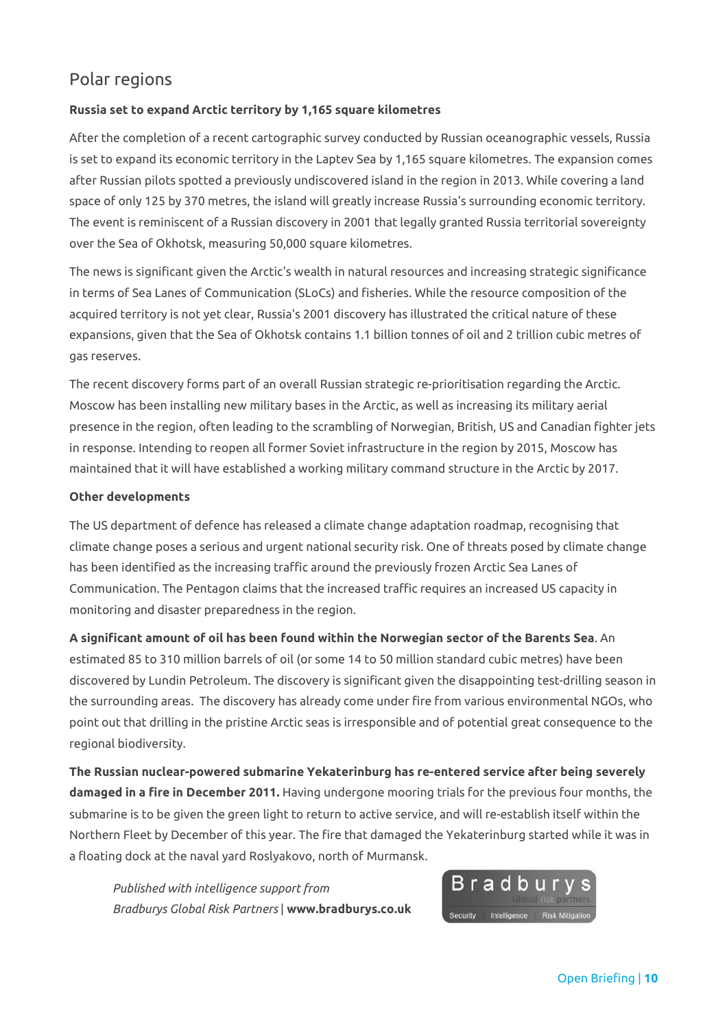# Polar regions

## **Russia set to expand Arctic territory by 1,165 square kilometres**

After the completion of a recent cartographic survey conducted by Russian oceanographic vessels, Russia is set to expand its economic territory in the Laptev Sea by 1,165 square kilometres. The expansion comes after Russian pilots spotted a previously undiscovered island in the region in 2013. While covering a land space of only 125 by 370 metres, the island will greatly increase Russia's surrounding economic territory. The event is reminiscent of a Russian discovery in 2001 that legally granted Russia territorial sovereignty over the Sea of Okhotsk, measuring 50,000 square kilometres.

The news is significant given the Arctic's wealth in natural resources and increasing strategic significance in terms of Sea Lanes of Communication (SLoCs) and fisheries. While the resource composition of the acquired territory is not yet clear, Russia's 2001 discovery has illustrated the critical nature of these expansions, given that the Sea of Okhotsk contains 1.1 billion tonnes of oil and 2 trillion cubic metres of gas reserves.

The recent discovery forms part of an overall Russian strategic re-prioritisation regarding the Arctic. Moscow has been installing new military bases in the Arctic, as well as increasing its military aerial presence in the region, often leading to the scrambling of Norwegian, British, US and Canadian fighter jets in response. Intending to reopen all former Soviet infrastructure in the region by 2015, Moscow has maintained that it will have established a working military command structure in the Arctic by 2017.

## **Other developments**

The US department of defence has released a climate change adaptation roadmap, recognising that climate change poses a serious and urgent national security risk. One of threats posed by climate change has been identified as the increasing traffic around the previously frozen Arctic Sea Lanes of Communication. The Pentagon claims that the increased traffic requires an increased US capacity in monitoring and disaster preparedness in the region.

**A significant amount of oil has been found within the Norwegian sector of the Barents Sea**. An estimated 85 to 310 million barrels of oil (or some 14 to 50 million standard cubic metres) have been discovered by Lundin Petroleum. The discovery is significant given the disappointing test-drilling season in the surrounding areas. The discovery has already come under fire from various environmental NGOs, who point out that drilling in the pristine Arctic seas is irresponsible and of potential great consequence to the regional biodiversity.

**The Russian nuclear-powered submarine Yekaterinburg has re-entered service after being severely damaged in a fire in December 2011.** Having undergone mooring trials for the previous four months, the submarine is to be given the green light to return to active service, and will re-establish itself within the Northern Fleet by December of this year. The fire that damaged the Yekaterinburg started while it was in a floating dock at the naval yard Roslyakovo, north of Murmansk.

*Published with intelligence support from Bradburys Global Risk Partners* | **www.bradburys.co.uk**